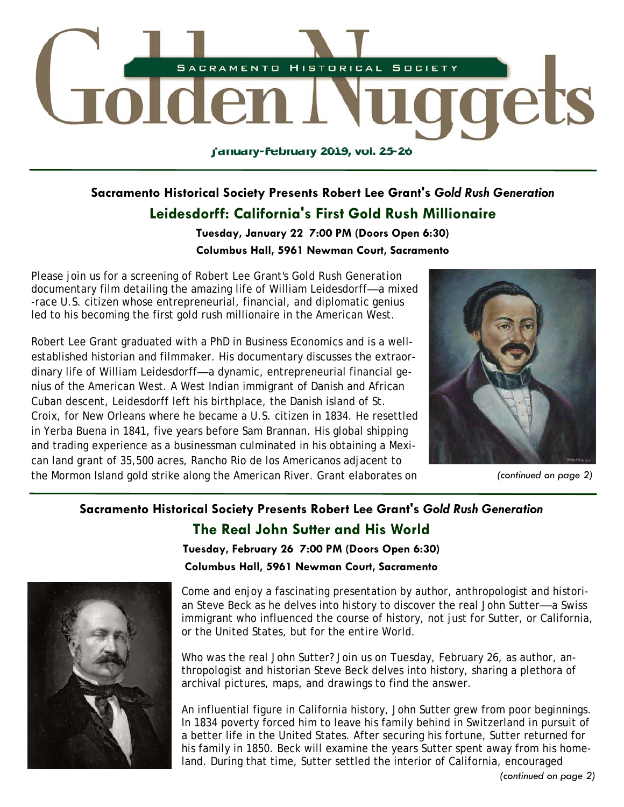

# **Sacramento Historical Society Presents Robert Lee Grant's** *Gold Rush Generation*  **Leidesdorff: California's First Gold Rush Millionaire**

**Tuesday, January 22 7:00 PM (Doors Open 6:30) Columbus Hall, 5961 Newman Court, Sacramento** 

Please join us for a screening of Robert Lee Grant's *Gold Rush Generation* documentary film detailing the amazing life of William Leidesdorff*—*a mixed -race U.S. citizen whose entrepreneurial, financial, and diplomatic genius led to his becoming the first gold rush millionaire in the American West.

Robert Lee Grant graduated with a PhD in Business Economics and is a wellestablished historian and filmmaker. His documentary discusses the extraordinary life of William Leidesdorff*—*a dynamic, entrepreneurial financial genius of the American West. A West Indian immigrant of Danish and African Cuban descent, Leidesdorff left his birthplace, the Danish island of St. Croix, for New Orleans where he became a U.S. citizen in 1834. He resettled in Yerba Buena in 1841, five years before Sam Brannan. His global shipping and trading experience as a businessman culminated in his obtaining a Mexican land grant of 35,500 acres, Rancho Rio de los Americanos adjacent to the Mormon Island gold strike along the American River. Grant elaborates on *(continued on page 2)* 



# **Sacramento Historical Society Presents Robert Lee Grant's** *Gold Rush Generation*  **The Real John Sutter and His World**

**Tuesday, February 26 7:00 PM (Doors Open 6:30) Columbus Hall, 5961 Newman Court, Sacramento** 



Come and enjoy a fascinating presentation by author, anthropologist and historian Steve Beck as he delves into history to discover the real John Sutter*—*a Swiss immigrant who influenced the course of history, not just for Sutter, or California, or the United States, but for the entire World.

Who was the real John Sutter? Join us on Tuesday, February 26, as author, anthropologist and historian Steve Beck delves into history, sharing a plethora of archival pictures, maps, and drawings to find the answer.

An influential figure in California history, John Sutter grew from poor beginnings. In 1834 poverty forced him to leave his family behind in Switzerland in pursuit of a better life in the United States. After securing his fortune, Sutter returned for his family in 1850. Beck will examine the years Sutter spent away from his homeland. During that time, Sutter settled the interior of California, encouraged

*(continued on page 2)*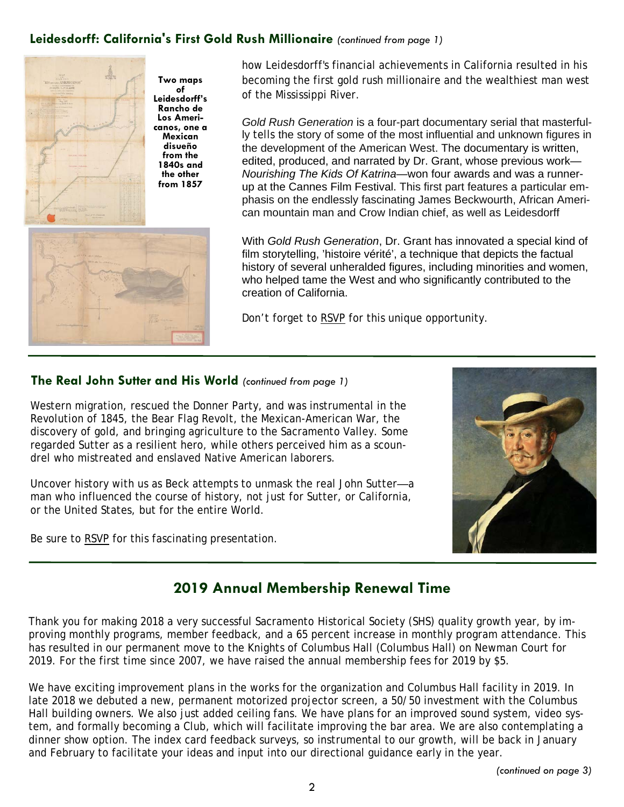### **Leidesdorff: California's First Gold Rush Millionaire** *(continued from page 1)*



**Two maps of Leidesdorff's Rancho de Los Americanos, one a Mexican disueño from the 1840s and the other from 1857**



how Leidesdorff's financial achievements in California resulted in his becoming the first gold rush millionaire and the wealthiest man west of the Mississippi River.

*Gold Rush Generation* is a four-part documentary serial that masterfully tells the story of some of the most influential and unknown figures in the development of the American West. The documentary is written, edited, produced, and narrated by Dr. Grant, whose previous work— *Nourishing The Kids Of Katrina—*won four awards and was a runnerup at the Cannes Film Festival. This first part features a particular emphasis on the endlessly fascinating James Beckwourth, African American mountain man and Crow Indian chief, as well as Leidesdorff

With *Gold Rush Generation*, Dr. Grant has innovated a special kind of film storytelling, 'histoire vérité', a technique that depicts the factual history of several unheralded figures, including minorities and women, who helped tame the West and who significantly contributed to the creation of California.

Don't forget to RSVP for this unique opportunity.

#### **The Real John Sutter and His World** *(continued from page 1)*

Western migration, rescued the Donner Party, and was instrumental in the Revolution of 1845, the Bear Flag Revolt, the Mexican-American War, the discovery of gold, and bringing agriculture to the Sacramento Valley. Some regarded Sutter as a resilient hero, while others perceived him as a scoundrel who mistreated and enslaved Native American laborers.

Uncover history with us as Beck attempts to unmask the real John Sutter*—*a man who influenced the course of history, not just for Sutter, or California, or the United States, but for the entire World.

Be sure to RSVP for this fascinating presentation.



## **2019 Annual Membership Renewal Time**

Thank you for making 2018 a very successful Sacramento Historical Society (SHS) quality growth year, by improving monthly programs, member feedback, and a 65 percent increase in monthly program attendance. This has resulted in our permanent move to the Knights of Columbus Hall (Columbus Hall) on Newman Court for 2019. For the first time since 2007, we have raised the annual membership fees for 2019 by \$5.

We have exciting improvement plans in the works for the organization and Columbus Hall facility in 2019. In late 2018 we debuted a new, permanent motorized projector screen, a 50/50 investment with the Columbus Hall building owners. We also just added ceiling fans. We have plans for an improved sound system, video system, and formally becoming a Club, which will facilitate improving the bar area. We are also contemplating a dinner show option. The index card feedback surveys, so instrumental to our growth, will be back in January and February to facilitate your ideas and input into our directional guidance early in the year.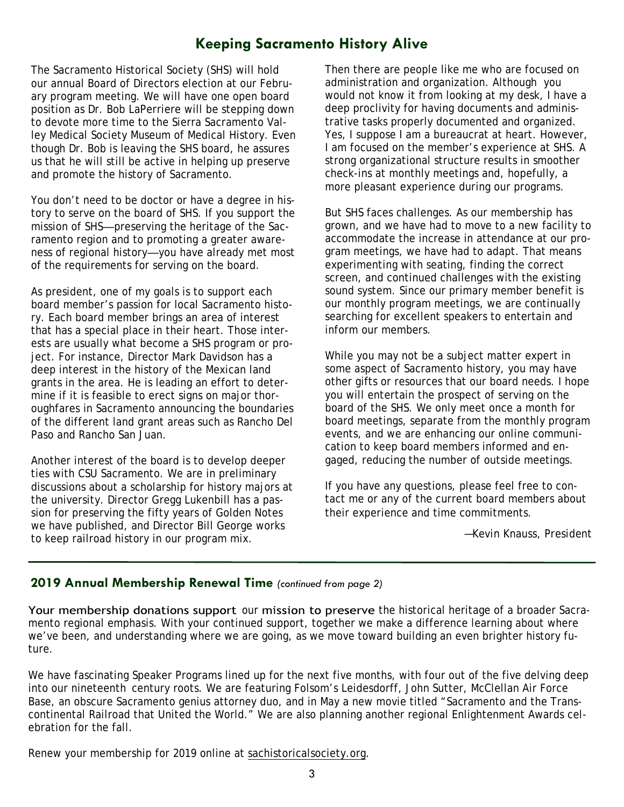# **Keeping Sacramento History Alive**

The Sacramento Historical Society (SHS) will hold our annual Board of Directors election at our February program meeting. We will have one open board position as Dr. Bob LaPerriere will be stepping down to devote more time to the Sierra Sacramento Valley Medical Society Museum of Medical History. Even though Dr. Bob is leaving the SHS board, he assures us that he will still be active in helping up preserve and promote the history of Sacramento.

You don't need to be doctor or have a degree in history to serve on the board of SHS. If you support the mission of SHS*—*preserving the heritage of the Sacramento region and to promoting a greater awareness of regional history*—*you have already met most of the requirements for serving on the board.

As president, one of my goals is to support each board member's passion for local Sacramento history. Each board member brings an area of interest that has a special place in their heart. Those interests are usually what become a SHS program or project. For instance, Director Mark Davidson has a deep interest in the history of the Mexican land grants in the area. He is leading an effort to determine if it is feasible to erect signs on major thoroughfares in Sacramento announcing the boundaries of the different land grant areas such as Rancho Del Paso and Rancho San Juan.

Another interest of the board is to develop deeper ties with CSU Sacramento. We are in preliminary discussions about a scholarship for history majors at the university. Director Gregg Lukenbill has a passion for preserving the fifty years of Golden Notes we have published, and Director Bill George works to keep railroad history in our program mix.

Then there are people like me who are focused on administration and organization. Although you would not know it from looking at my desk, I have a deep proclivity for having documents and administrative tasks properly documented and organized. Yes, I suppose I am a bureaucrat at heart. However, I am focused on the member's experience at SHS. A strong organizational structure results in smoother check-ins at monthly meetings and, hopefully, a more pleasant experience during our programs.

But SHS faces challenges. As our membership has grown, and we have had to move to a new facility to accommodate the increase in attendance at our program meetings, we have had to adapt. That means experimenting with seating, finding the correct screen, and continued challenges with the existing sound system. Since our primary member benefit is our monthly program meetings, we are continually searching for excellent speakers to entertain and inform our members.

While you may not be a subject matter expert in some aspect of Sacramento history, you may have other gifts or resources that our board needs. I hope you will entertain the prospect of serving on the board of the SHS. We only meet once a month for board meetings, separate from the monthly program events, and we are enhancing our online communication to keep board members informed and engaged, reducing the number of outside meetings.

If you have any questions, please feel free to contact me or any of the current board members about their experience and time commitments.

*—Kevin Knauss, President* 

#### **2019 Annual Membership Renewal Time** *(continued from page 2)*

Your membership donations support our mission to preserve the historical heritage of a broader Sacramento regional emphasis. With your continued support, together we make a difference learning about where we've been, and understanding where we are going, as we move toward building an even brighter history future.

We have fascinating Speaker Programs lined up for the next five months, with four out of the five delving deep into our nineteenth century roots. We are featuring Folsom's Leidesdorff, John Sutter, McClellan Air Force Base, an obscure Sacramento genius attorney duo, and in May a new movie titled "Sacramento and the Transcontinental Railroad that United the World." We are also planning another regional Enlightenment Awards celebration for the fall.

Renew your membership for 2019 online at sachistoricalsociety.org.